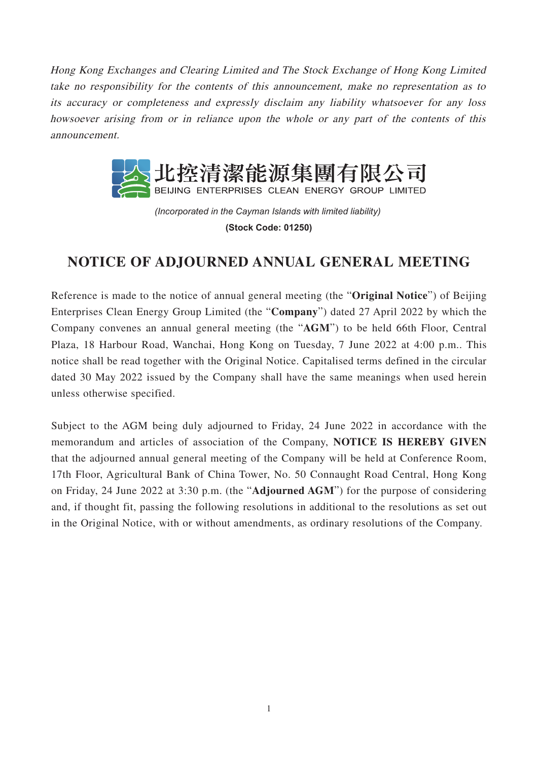Hong Kong Exchanges and Clearing Limited and The Stock Exchange of Hong Kong Limited take no responsibility for the contents of this announcement, make no representation as to its accuracy or completeness and expressly disclaim any liability whatsoever for any loss howsoever arising from or in reliance upon the whole or any part of the contents of this announcement.



*(Incorporated in the Cayman Islands with limited liability)*  **(Stock Code: 01250)**

## **NOTICE OF ADJOURNED ANNUAL GENERAL MEETING**

Reference is made to the notice of annual general meeting (the "**Original Notice**") of Beijing Enterprises Clean Energy Group Limited (the "**Company**") dated 27 April 2022 by which the Company convenes an annual general meeting (the "**AGM**") to be held 66th Floor, Central Plaza, 18 Harbour Road, Wanchai, Hong Kong on Tuesday, 7 June 2022 at 4:00 p.m.. This notice shall be read together with the Original Notice. Capitalised terms defined in the circular dated 30 May 2022 issued by the Company shall have the same meanings when used herein unless otherwise specified.

Subject to the AGM being duly adjourned to Friday, 24 June 2022 in accordance with the memorandum and articles of association of the Company, **NOTICE IS HEREBY GIVEN** that the adjourned annual general meeting of the Company will be held at Conference Room, 17th Floor, Agricultural Bank of China Tower, No. 50 Connaught Road Central, Hong Kong on Friday, 24 June 2022 at 3:30 p.m. (the "**Adjourned AGM**") for the purpose of considering and, if thought fit, passing the following resolutions in additional to the resolutions as set out in the Original Notice, with or without amendments, as ordinary resolutions of the Company.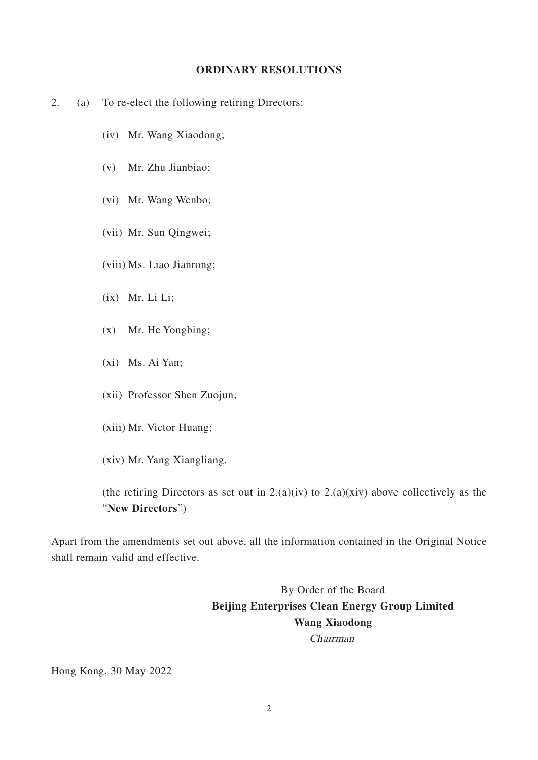## **ORDINARY RESOLUTIONS**

- 2. (a) To re-elect the following retiring Directors:
	- (iv) Mr. Wang Xiaodong;
	- (v) Mr. Zhu Jianbiao;
	- (vi) Mr. Wang Wenbo;
	- (vii) Mr. Sun Qingwei;
	- (viii) Ms. Liao Jianrong;
	- (ix) Mr. Li Li;
	- (x) Mr. He Yongbing;
	- (xi) Ms. Ai Yan;
	- (xii) Professor Shen Zuojun;
	- (xiii) Mr. Victor Huang;
	- (xiv) Mr. Yang Xiangliang.

(the retiring Directors as set out in  $2.(a)(iv)$  to  $2.(a)(xiv)$  above collectively as the "**New Directors**")

Apart from the amendments set out above, all the information contained in the Original Notice shall remain valid and effective.

> By Order of the Board **Beijing Enterprises Clean Energy Group Limited Wang Xiaodong** Chairman

Hong Kong, 30 May 2022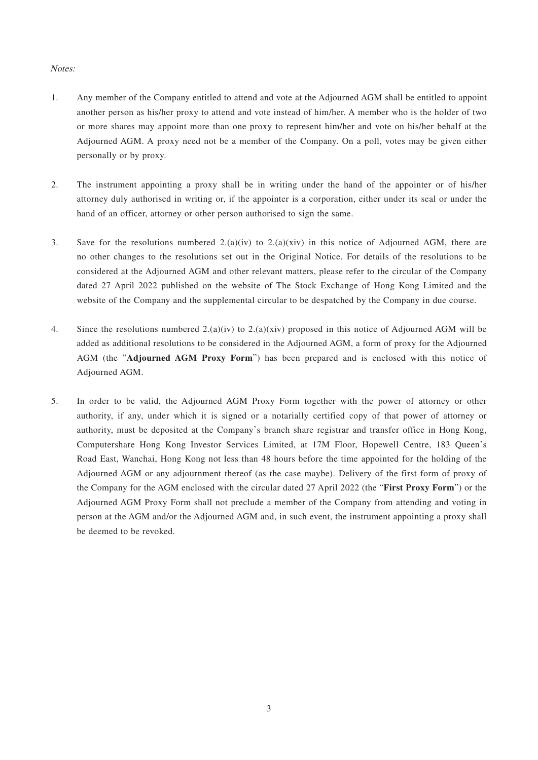## Notes:

- 1. Any member of the Company entitled to attend and vote at the Adjourned AGM shall be entitled to appoint another person as his/her proxy to attend and vote instead of him/her. A member who is the holder of two or more shares may appoint more than one proxy to represent him/her and vote on his/her behalf at the Adjourned AGM. A proxy need not be a member of the Company. On a poll, votes may be given either personally or by proxy.
- 2. The instrument appointing a proxy shall be in writing under the hand of the appointer or of his/her attorney duly authorised in writing or, if the appointer is a corporation, either under its seal or under the hand of an officer, attorney or other person authorised to sign the same.
- 3. Save for the resolutions numbered  $2.(a)(iv)$  to  $2.(a)(xiv)$  in this notice of Adjourned AGM, there are no other changes to the resolutions set out in the Original Notice. For details of the resolutions to be considered at the Adjourned AGM and other relevant matters, please refer to the circular of the Company dated 27 April 2022 published on the website of The Stock Exchange of Hong Kong Limited and the website of the Company and the supplemental circular to be despatched by the Company in due course.
- 4. Since the resolutions numbered 2.(a)(iv) to 2.(a)(xiv) proposed in this notice of Adjourned AGM will be added as additional resolutions to be considered in the Adjourned AGM, a form of proxy for the Adjourned AGM (the "**Adjourned AGM Proxy Form**") has been prepared and is enclosed with this notice of Adjourned AGM.
- 5. In order to be valid, the Adjourned AGM Proxy Form together with the power of attorney or other authority, if any, under which it is signed or a notarially certified copy of that power of attorney or authority, must be deposited at the Company's branch share registrar and transfer office in Hong Kong, Computershare Hong Kong Investor Services Limited, at 17M Floor, Hopewell Centre, 183 Queen's Road East, Wanchai, Hong Kong not less than 48 hours before the time appointed for the holding of the Adjourned AGM or any adjournment thereof (as the case maybe). Delivery of the first form of proxy of the Company for the AGM enclosed with the circular dated 27 April 2022 (the "**First Proxy Form**") or the Adjourned AGM Proxy Form shall not preclude a member of the Company from attending and voting in person at the AGM and/or the Adjourned AGM and, in such event, the instrument appointing a proxy shall be deemed to be revoked.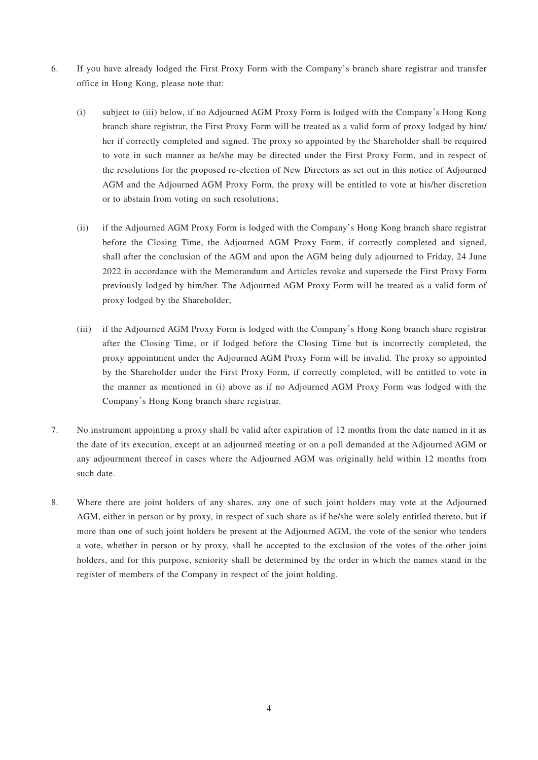- 6. If you have already lodged the First Proxy Form with the Company's branch share registrar and transfer office in Hong Kong, please note that:
	- (i) subject to (iii) below, if no Adjourned AGM Proxy Form is lodged with the Company's Hong Kong branch share registrar, the First Proxy Form will be treated as a valid form of proxy lodged by him/ her if correctly completed and signed. The proxy so appointed by the Shareholder shall be required to vote in such manner as he/she may be directed under the First Proxy Form, and in respect of the resolutions for the proposed re-election of New Directors as set out in this notice of Adjourned AGM and the Adjourned AGM Proxy Form, the proxy will be entitled to vote at his/her discretion or to abstain from voting on such resolutions;
	- (ii) if the Adjourned AGM Proxy Form is lodged with the Company's Hong Kong branch share registrar before the Closing Time, the Adjourned AGM Proxy Form, if correctly completed and signed, shall after the conclusion of the AGM and upon the AGM being duly adjourned to Friday, 24 June 2022 in accordance with the Memorandum and Articles revoke and supersede the First Proxy Form previously lodged by him/her. The Adjourned AGM Proxy Form will be treated as a valid form of proxy lodged by the Shareholder;
	- (iii) if the Adjourned AGM Proxy Form is lodged with the Company's Hong Kong branch share registrar after the Closing Time, or if lodged before the Closing Time but is incorrectly completed, the proxy appointment under the Adjourned AGM Proxy Form will be invalid. The proxy so appointed by the Shareholder under the First Proxy Form, if correctly completed, will be entitled to vote in the manner as mentioned in (i) above as if no Adjourned AGM Proxy Form was lodged with the Company's Hong Kong branch share registrar.
- 7. No instrument appointing a proxy shall be valid after expiration of 12 months from the date named in it as the date of its execution, except at an adjourned meeting or on a poll demanded at the Adjourned AGM or any adjournment thereof in cases where the Adjourned AGM was originally held within 12 months from such date.
- 8. Where there are joint holders of any shares, any one of such joint holders may vote at the Adjourned AGM, either in person or by proxy, in respect of such share as if he/she were solely entitled thereto, but if more than one of such joint holders be present at the Adjourned AGM, the vote of the senior who tenders a vote, whether in person or by proxy, shall be accepted to the exclusion of the votes of the other joint holders, and for this purpose, seniority shall be determined by the order in which the names stand in the register of members of the Company in respect of the joint holding.